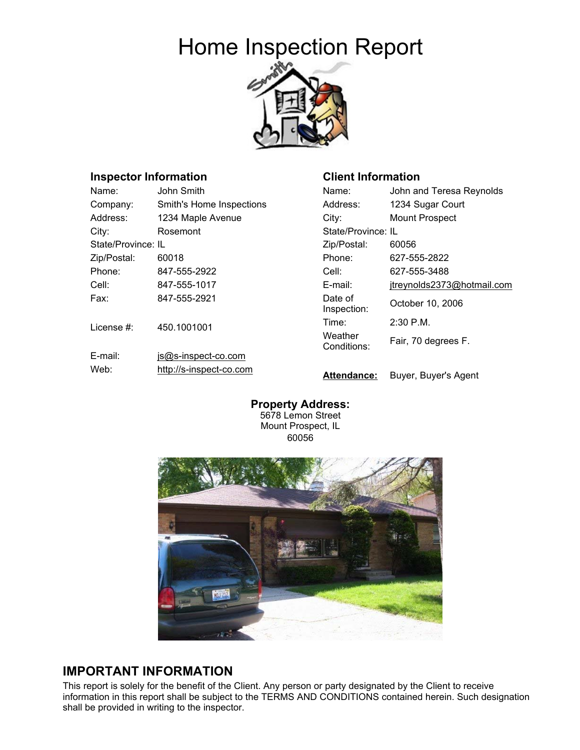# Home Inspection Report



**Client Information**

## **Inspector Information**

| Name:              | John Smith               | Name:                  | John and Teresa Reynolds   |
|--------------------|--------------------------|------------------------|----------------------------|
| Company:           | Smith's Home Inspections | Address:               | 1234 Sugar Court           |
| Address:           | 1234 Maple Avenue        | City:                  | <b>Mount Prospect</b>      |
| City:              | Rosemont                 | State/Province: IL     |                            |
| State/Province: IL |                          | Zip/Postal:            | 60056                      |
| Zip/Postal:        | 60018                    | Phone:                 | 627-555-2822               |
| Phone:             | 847-555-2922             | Cell:                  | 627-555-3488               |
| Cell:              | 847-555-1017             | E-mail:                | jtreynolds2373@hotmail.com |
| Fax:               | 847-555-2921             | Date of<br>Inspection: | October 10, 2006           |
| License #:         | 450.1001001              | Time:                  | 2:30 P.M.                  |
|                    |                          | Weather<br>Conditions: | Fair, 70 degrees F.        |
| E-mail:            | js@s-inspect-co.com      |                        |                            |
| Web:               | http://s-inspect-co.com  | <b>Attendance:</b>     | Buyer, Buyer's Agent       |

**Property Address:**  5678 Lemon Street Mount Prospect, IL 60056



## **IMPORTANT INFORMATION**

This report is solely for the benefit of the Client. Any person or party designated by the Client to receive information in this report shall be subject to the TERMS AND CONDITIONS contained herein. Such designation shall be provided in writing to the inspector.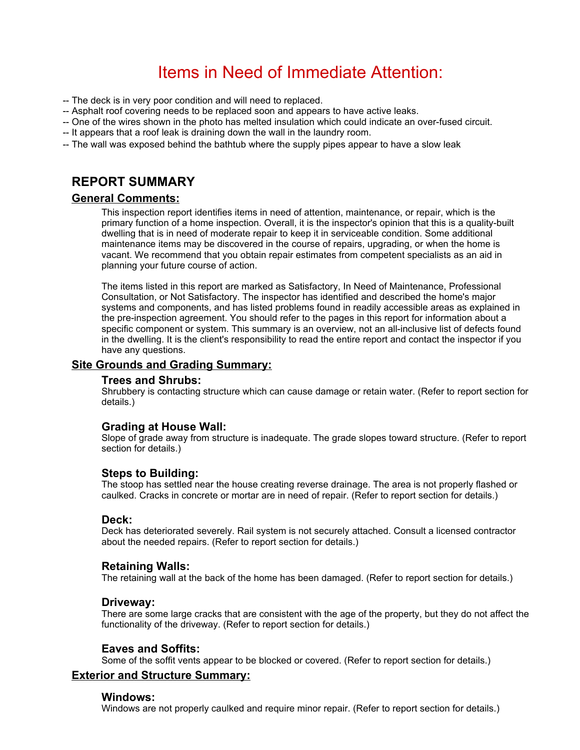# Items in Need of Immediate Attention:

- -- The deck is in very poor condition and will need to replaced.
- -- Asphalt roof covering needs to be replaced soon and appears to have active leaks.
- -- One of the wires shown in the photo has melted insulation which could indicate an over-fused circuit.
- -- It appears that a roof leak is draining down the wall in the laundry room.
- -- The wall was exposed behind the bathtub where the supply pipes appear to have a slow leak

## **REPORT SUMMARY**

#### **General Comments:**

This inspection report identifies items in need of attention, maintenance, or repair, which is the primary function of a home inspection. Overall, it is the inspector's opinion that this is a quality-built dwelling that is in need of moderate repair to keep it in serviceable condition. Some additional maintenance items may be discovered in the course of repairs, upgrading, or when the home is vacant. We recommend that you obtain repair estimates from competent specialists as an aid in planning your future course of action.

The items listed in this report are marked as Satisfactory, In Need of Maintenance, Professional Consultation, or Not Satisfactory. The inspector has identified and described the home's major systems and components, and has listed problems found in readily accessible areas as explained in the pre-inspection agreement. You should refer to the pages in this report for information about a specific component or system. This summary is an overview, not an all-inclusive list of defects found in the dwelling. It is the client's responsibility to read the entire report and contact the inspector if you have any questions.

#### **Site Grounds and Grading Summary:**

#### **Trees and Shrubs:**

Shrubbery is contacting structure which can cause damage or retain water. (Refer to report section for details.)

#### **Grading at House Wall:**

Slope of grade away from structure is inadequate. The grade slopes toward structure. (Refer to report section for details.)

#### **Steps to Building:**

The stoop has settled near the house creating reverse drainage. The area is not properly flashed or caulked. Cracks in concrete or mortar are in need of repair. (Refer to report section for details.)

#### **Deck:**

Deck has deteriorated severely. Rail system is not securely attached. Consult a licensed contractor about the needed repairs. (Refer to report section for details.)

#### **Retaining Walls:**

The retaining wall at the back of the home has been damaged. (Refer to report section for details.)

#### **Driveway:**

There are some large cracks that are consistent with the age of the property, but they do not affect the functionality of the driveway. (Refer to report section for details.)

#### **Eaves and Soffits:**

Some of the soffit vents appear to be blocked or covered. (Refer to report section for details.)

#### **Exterior and Structure Summary:**

#### **Windows:**

Windows are not properly caulked and require minor repair. (Refer to report section for details.)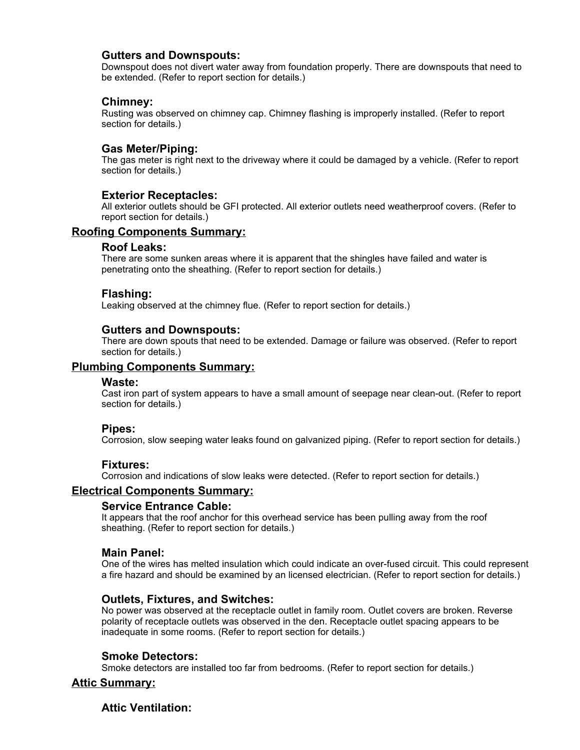#### **Gutters and Downspouts:**

Downspout does not divert water away from foundation properly. There are downspouts that need to be extended. (Refer to report section for details.)

#### **Chimney:**

Rusting was observed on chimney cap. Chimney flashing is improperly installed. (Refer to report section for details.)

### **Gas Meter/Piping:**

The gas meter is right next to the driveway where it could be damaged by a vehicle. (Refer to report section for details.)

#### **Exterior Receptacles:**

All exterior outlets should be GFI protected. All exterior outlets need weatherproof covers. (Refer to report section for details.)

#### **Roofing Components Summary:**

#### **Roof Leaks:**

There are some sunken areas where it is apparent that the shingles have failed and water is penetrating onto the sheathing. (Refer to report section for details.)

#### **Flashing:**

Leaking observed at the chimney flue. (Refer to report section for details.)

#### **Gutters and Downspouts:**

There are down spouts that need to be extended. Damage or failure was observed. (Refer to report section for details.)

#### **Plumbing Components Summary:**

#### **Waste:**

Cast iron part of system appears to have a small amount of seepage near clean-out. (Refer to report section for details.)

#### **Pipes:**

Corrosion, slow seeping water leaks found on galvanized piping. (Refer to report section for details.)

#### **Fixtures:**

Corrosion and indications of slow leaks were detected. (Refer to report section for details.)

#### **Electrical Components Summary:**

#### **Service Entrance Cable:**

It appears that the roof anchor for this overhead service has been pulling away from the roof sheathing. (Refer to report section for details.)

#### **Main Panel:**

One of the wires has melted insulation which could indicate an over-fused circuit. This could represent a fire hazard and should be examined by an licensed electrician. (Refer to report section for details.)

#### **Outlets, Fixtures, and Switches:**

No power was observed at the receptacle outlet in family room. Outlet covers are broken. Reverse polarity of receptacle outlets was observed in the den. Receptacle outlet spacing appears to be inadequate in some rooms. (Refer to report section for details.)

#### **Smoke Detectors:**

Smoke detectors are installed too far from bedrooms. (Refer to report section for details.)

#### **Attic Summary:**

#### **Attic Ventilation:**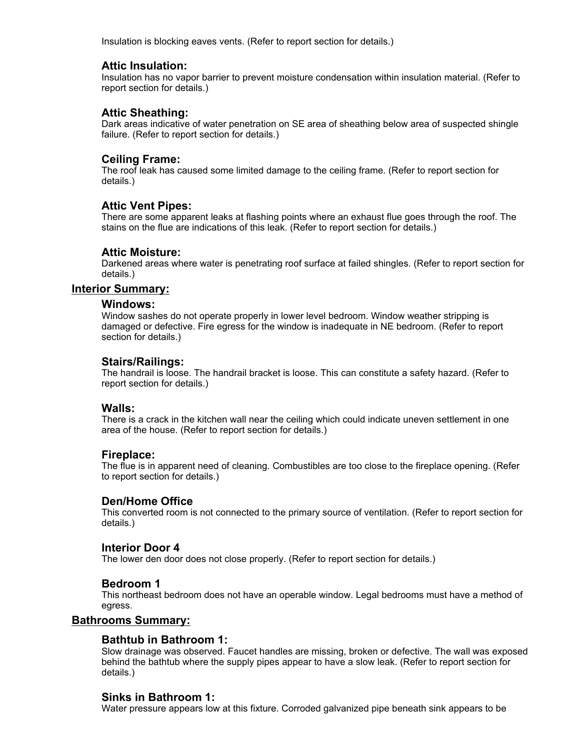Insulation is blocking eaves vents. (Refer to report section for details.)

#### **Attic Insulation:**

Insulation has no vapor barrier to prevent moisture condensation within insulation material. (Refer to report section for details.)

#### **Attic Sheathing:**

Dark areas indicative of water penetration on SE area of sheathing below area of suspected shingle failure. (Refer to report section for details.)

#### **Ceiling Frame:**

The roof leak has caused some limited damage to the ceiling frame. (Refer to report section for details.)

#### **Attic Vent Pipes:**

There are some apparent leaks at flashing points where an exhaust flue goes through the roof. The stains on the flue are indications of this leak. (Refer to report section for details.)

#### **Attic Moisture:**

Darkened areas where water is penetrating roof surface at failed shingles. (Refer to report section for details.)

#### **Interior Summary:**

#### **Windows:**

Window sashes do not operate properly in lower level bedroom. Window weather stripping is damaged or defective. Fire egress for the window is inadequate in NE bedroom. (Refer to report section for details.)

#### **Stairs/Railings:**

The handrail is loose. The handrail bracket is loose. This can constitute a safety hazard. (Refer to report section for details.)

#### **Walls:**

There is a crack in the kitchen wall near the ceiling which could indicate uneven settlement in one area of the house. (Refer to report section for details.)

#### **Fireplace:**

The flue is in apparent need of cleaning. Combustibles are too close to the fireplace opening. (Refer to report section for details.)

#### **Den/Home Office**

This converted room is not connected to the primary source of ventilation. (Refer to report section for details.)

#### **Interior Door 4**

The lower den door does not close properly. (Refer to report section for details.)

#### **Bedroom 1**

This northeast bedroom does not have an operable window. Legal bedrooms must have a method of egress.

#### **Bathrooms Summary:**

#### **Bathtub in Bathroom 1:**

Slow drainage was observed. Faucet handles are missing, broken or defective. The wall was exposed behind the bathtub where the supply pipes appear to have a slow leak. (Refer to report section for details.)

#### **Sinks in Bathroom 1:**

Water pressure appears low at this fixture. Corroded galvanized pipe beneath sink appears to be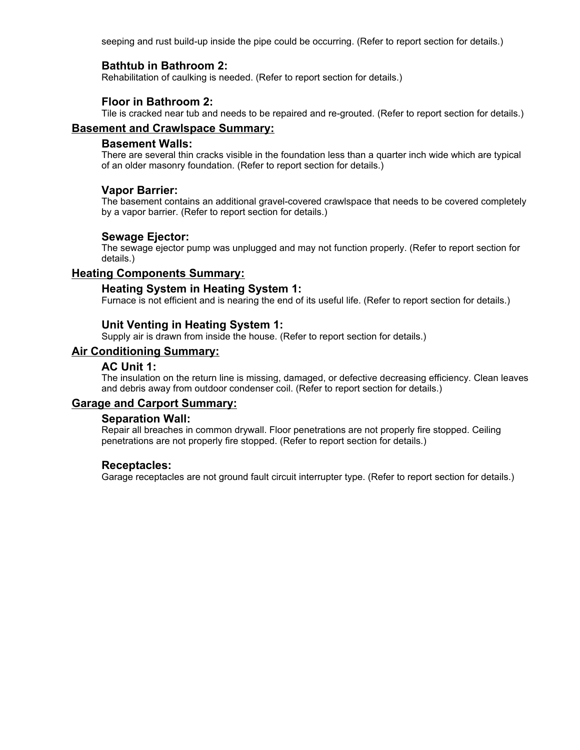seeping and rust build-up inside the pipe could be occurring. (Refer to report section for details.)

## **Bathtub in Bathroom 2:**

Rehabilitation of caulking is needed. (Refer to report section for details.)

#### **Floor in Bathroom 2:**

Tile is cracked near tub and needs to be repaired and re-grouted. (Refer to report section for details.)

#### **Basement and Crawlspace Summary:**

#### **Basement Walls:**

There are several thin cracks visible in the foundation less than a quarter inch wide which are typical of an older masonry foundation. (Refer to report section for details.)

#### **Vapor Barrier:**

The basement contains an additional gravel-covered crawlspace that needs to be covered completely by a vapor barrier. (Refer to report section for details.)

#### **Sewage Ejector:**

The sewage ejector pump was unplugged and may not function properly. (Refer to report section for details.)

#### **Heating Components Summary:**

#### **Heating System in Heating System 1:**

Furnace is not efficient and is nearing the end of its useful life. (Refer to report section for details.)

#### **Unit Venting in Heating System 1:**

Supply air is drawn from inside the house. (Refer to report section for details.)

## **Air Conditioning Summary:**

#### **AC Unit 1:**

The insulation on the return line is missing, damaged, or defective decreasing efficiency. Clean leaves and debris away from outdoor condenser coil. (Refer to report section for details.)

## **Garage and Carport Summary:**

#### **Separation Wall:**

Repair all breaches in common drywall. Floor penetrations are not properly fire stopped. Ceiling penetrations are not properly fire stopped. (Refer to report section for details.)

#### **Receptacles:**

Garage receptacles are not ground fault circuit interrupter type. (Refer to report section for details.)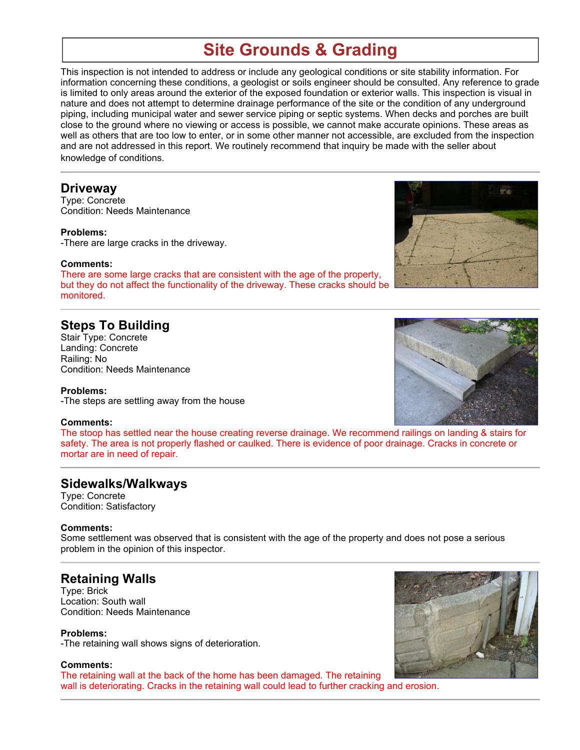# **Site Grounds & Grading**

This inspection is not intended to address or include any geological conditions or site stability information. For information concerning these conditions, a geologist or soils engineer should be consulted. Any reference to grade is limited to only areas around the exterior of the exposed foundation or exterior walls. This inspection is visual in nature and does not attempt to determine drainage performance of the site or the condition of any underground piping, including municipal water and sewer service piping or septic systems. When decks and porches are built close to the ground where no viewing or access is possible, we cannot make accurate opinions. These areas as well as others that are too low to enter, or in some other manner not accessible, are excluded from the inspection and are not addressed in this report. We routinely recommend that inquiry be made with the seller about knowledge of conditions.

#### **Driveway**

Type: Concrete Condition: Needs Maintenance

#### **Problems:**

-There are large cracks in the driveway.

#### **Comments:**

There are some large cracks that are consistent with the age of the property, but they do not affect the functionality of the driveway. These cracks should be monitored.

## **Steps To Building**

Stair Type: Concrete Landing: Concrete Railing: No Condition: Needs Maintenance

#### **Problems:**

-The steps are settling away from the house

#### **Comments:**

The stoop has settled near the house creating reverse drainage. We recommend railings on landing & stairs for safety. The area is not properly flashed or caulked. There is evidence of poor drainage. Cracks in concrete or mortar are in need of repair.

## **Sidewalks/Walkways**

Type: Concrete Condition: Satisfactory

#### **Comments:**

Some settlement was observed that is consistent with the age of the property and does not pose a serious problem in the opinion of this inspector.

## **Retaining Walls**

Type: Brick Location: South wall Condition: Needs Maintenance

**Problems:** -The retaining wall shows signs of deterioration.

**Comments:** The retaining wall at the back of the home has been damaged. The retaining wall is deteriorating. Cracks in the retaining wall could lead to further cracking and erosion.





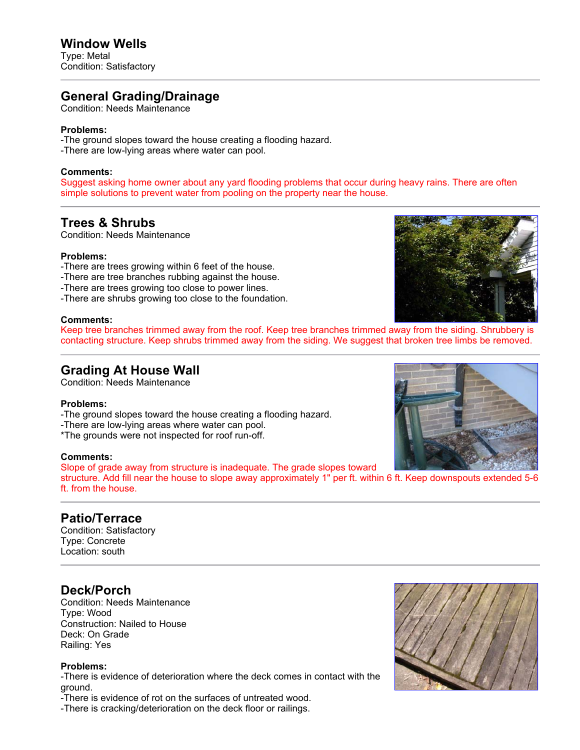## **Window Wells**

Type: Metal Condition: Satisfactory

## **General Grading/Drainage**

Condition: Needs Maintenance

#### **Problems:**

-The ground slopes toward the house creating a flooding hazard. -There are low-lying areas where water can pool.

#### **Comments:**

Suggest asking home owner about any yard flooding problems that occur during heavy rains. There are often simple solutions to prevent water from pooling on the property near the house.

## **Trees & Shrubs**

Condition: Needs Maintenance

#### **Problems:**

- -There are trees growing within 6 feet of the house.
- -There are tree branches rubbing against the house.
- -There are trees growing too close to power lines.
- -There are shrubs growing too close to the foundation.

#### **Comments:**

Keep tree branches trimmed away from the roof. Keep tree branches trimmed away from the siding. Shrubbery is contacting structure. Keep shrubs trimmed away from the siding. We suggest that broken tree limbs be removed.

## **Grading At House Wall**

Condition: Needs Maintenance

#### **Problems:**

- -The ground slopes toward the house creating a flooding hazard.
- -There are low-lying areas where water can pool.
- \*The grounds were not inspected for roof run-off.

#### **Comments:**

Slope of grade away from structure is inadequate. The grade slopes toward

structure. Add fill near the house to slope away approximately 1" per ft. within 6 ft. Keep downspouts extended 5-6 ft. from the house.

## **Patio/Terrace**

Condition: Satisfactory Type: Concrete Location: south

## **Deck/Porch**

Condition: Needs Maintenance Type: Wood Construction: Nailed to House Deck: On Grade Railing: Yes

#### **Problems:**

-There is evidence of deterioration where the deck comes in contact with the ground.

-There is evidence of rot on the surfaces of untreated wood.

-There is cracking/deterioration on the deck floor or railings.





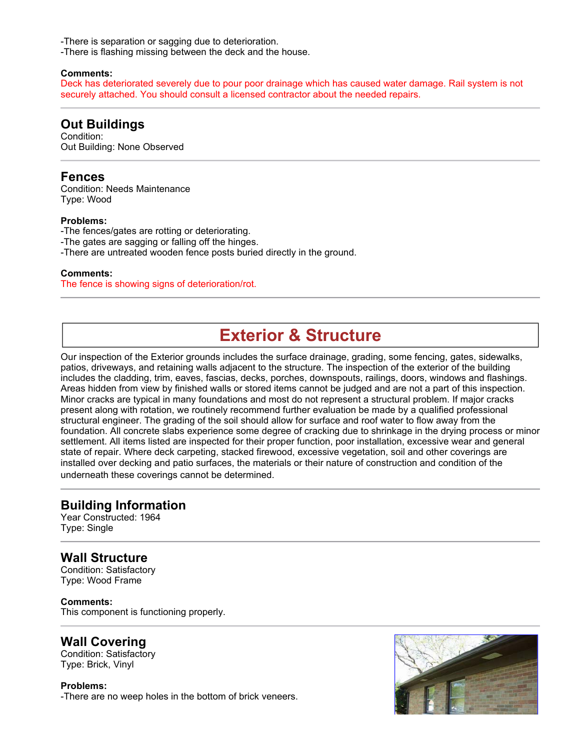-There is separation or sagging due to deterioration.

-There is flashing missing between the deck and the house.

#### **Comments:**

Deck has deteriorated severely due to pour poor drainage which has caused water damage. Rail system is not securely attached. You should consult a licensed contractor about the needed repairs.

## **Out Buildings**

Condition: Out Building: None Observed

## **Fences**

Condition: Needs Maintenance Type: Wood

#### **Problems:**

-The fences/gates are rotting or deteriorating. -The gates are sagging or falling off the hinges. -There are untreated wooden fence posts buried directly in the ground.

#### **Comments:**

The fence is showing signs of deterioration/rot.

## **Exterior & Structure**

Our inspection of the Exterior grounds includes the surface drainage, grading, some fencing, gates, sidewalks, patios, driveways, and retaining walls adjacent to the structure. The inspection of the exterior of the building includes the cladding, trim, eaves, fascias, decks, porches, downspouts, railings, doors, windows and flashings. Areas hidden from view by finished walls or stored items cannot be judged and are not a part of this inspection. Minor cracks are typical in many foundations and most do not represent a structural problem. If major cracks present along with rotation, we routinely recommend further evaluation be made by a qualified professional structural engineer. The grading of the soil should allow for surface and roof water to flow away from the foundation. All concrete slabs experience some degree of cracking due to shrinkage in the drying process or minor settlement. All items listed are inspected for their proper function, poor installation, excessive wear and general state of repair. Where deck carpeting, stacked firewood, excessive vegetation, soil and other coverings are installed over decking and patio surfaces, the materials or their nature of construction and condition of the underneath these coverings cannot be determined.

## **Building Information**

Year Constructed: 1964 Type: Single

## **Wall Structure**

Condition: Satisfactory Type: Wood Frame

**Comments:** This component is functioning properly.

## **Wall Covering**

Condition: Satisfactory Type: Brick, Vinyl

#### **Problems:**

-There are no weep holes in the bottom of brick veneers.

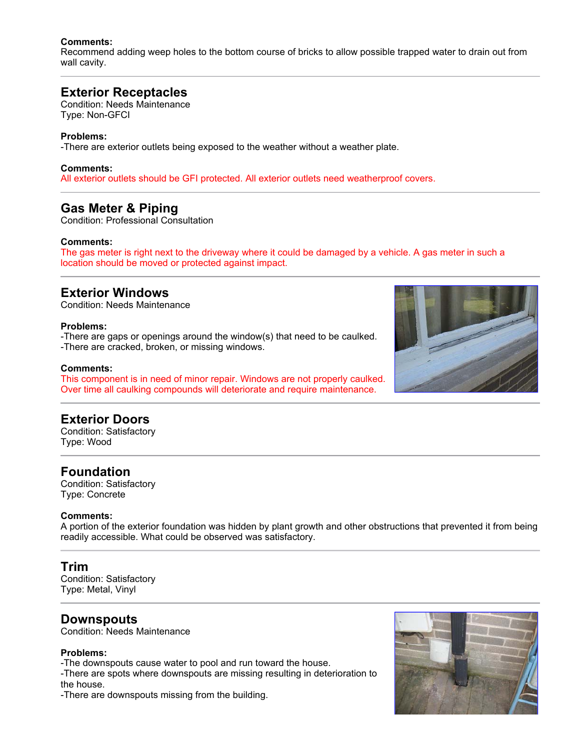#### **Comments:**

Recommend adding weep holes to the bottom course of bricks to allow possible trapped water to drain out from wall cavity.

## **Exterior Receptacles**

Condition: Needs Maintenance Type: Non-GFCI

#### **Problems:**

-There are exterior outlets being exposed to the weather without a weather plate.

#### **Comments:**

All exterior outlets should be GFI protected. All exterior outlets need weatherproof covers.

## **Gas Meter & Piping**

Condition: Professional Consultation

#### **Comments:**

The gas meter is right next to the driveway where it could be damaged by a vehicle. A gas meter in such a location should be moved or protected against impact.

## **Exterior Windows**

Condition: Needs Maintenance

#### **Problems:**

-There are gaps or openings around the window(s) that need to be caulked. -There are cracked, broken, or missing windows.

#### **Comments:**

This component is in need of minor repair. Windows are not properly caulked. Over time all caulking compounds will deteriorate and require maintenance.

## **Exterior Doors**

Condition: Satisfactory Type: Wood

## **Foundation**

Condition: Satisfactory Type: Concrete

#### **Comments:**

A portion of the exterior foundation was hidden by plant growth and other obstructions that prevented it from being readily accessible. What could be observed was satisfactory.

## **Trim**

Condition: Satisfactory Type: Metal, Vinyl

## **Downspouts**

Condition: Needs Maintenance

#### **Problems:**

-The downspouts cause water to pool and run toward the house.

-There are spots where downspouts are missing resulting in deterioration to the house.

-There are downspouts missing from the building.



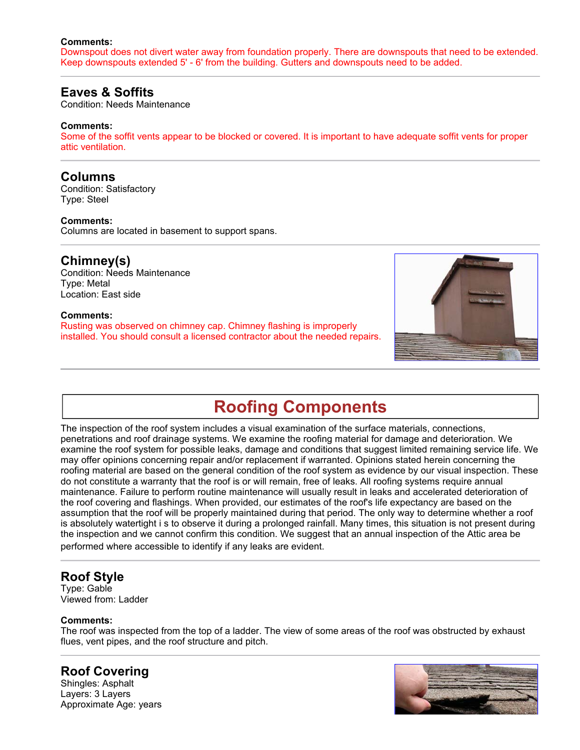#### **Comments:**

Downspout does not divert water away from foundation properly. There are downspouts that need to be extended. Keep downspouts extended 5' - 6' from the building. Gutters and downspouts need to be added.

## **Eaves & Soffits**

Condition: Needs Maintenance

#### **Comments:**

Some of the soffit vents appear to be blocked or covered. It is important to have adequate soffit vents for proper attic ventilation.

## **Columns**

Condition: Satisfactory Type: Steel

#### **Comments:**

Columns are located in basement to support spans.

## **Chimney(s)**

Condition: Needs Maintenance Type: Metal Location: East side

#### **Comments:**

Rusting was observed on chimney cap. Chimney flashing is improperly installed. You should consult a licensed contractor about the needed repairs.



# **Roofing Components**

The inspection of the roof system includes a visual examination of the surface materials, connections, penetrations and roof drainage systems. We examine the roofing material for damage and deterioration. We examine the roof system for possible leaks, damage and conditions that suggest limited remaining service life. We may offer opinions concerning repair and/or replacement if warranted. Opinions stated herein concerning the roofing material are based on the general condition of the roof system as evidence by our visual inspection. These do not constitute a warranty that the roof is or will remain, free of leaks. All roofing systems require annual maintenance. Failure to perform routine maintenance will usually result in leaks and accelerated deterioration of the roof covering and flashings. When provided, our estimates of the roof's life expectancy are based on the assumption that the roof will be properly maintained during that period. The only way to determine whether a roof is absolutely watertight i s to observe it during a prolonged rainfall. Many times, this situation is not present during the inspection and we cannot confirm this condition. We suggest that an annual inspection of the Attic area be performed where accessible to identify if any leaks are evident.

## **Roof Style**

Type: Gable Viewed from: Ladder

#### **Comments:**

The roof was inspected from the top of a ladder. The view of some areas of the roof was obstructed by exhaust flues, vent pipes, and the roof structure and pitch.

## **Roof Covering**

Shingles: Asphalt Layers: 3 Layers Approximate Age: years

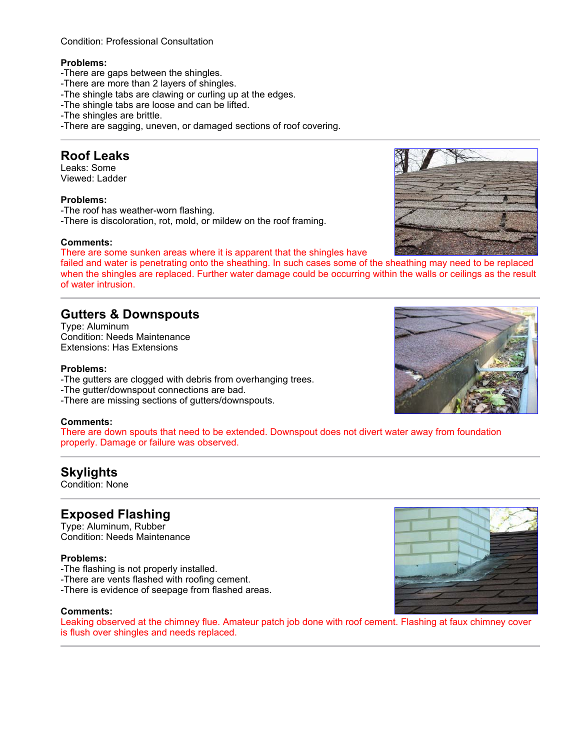#### Condition: Professional Consultation

#### **Problems:**

- -There are gaps between the shingles.
- -There are more than 2 layers of shingles.
- -The shingle tabs are clawing or curling up at the edges.
- -The shingle tabs are loose and can be lifted.
- -The shingles are brittle.
- -There are sagging, uneven, or damaged sections of roof covering.

## **Roof Leaks**

Leaks: Some Viewed: Ladder

#### **Problems:**

-The roof has weather-worn flashing. -There is discoloration, rot, mold, or mildew on the roof framing.

#### **Comments:**

There are some sunken areas where it is apparent that the shingles have

failed and water is penetrating onto the sheathing. In such cases some of the sheathing may need to be replaced when the shingles are replaced. Further water damage could be occurring within the walls or ceilings as the result of water intrusion.

## **Gutters & Downspouts**

Type: Aluminum Condition: Needs Maintenance Extensions: Has Extensions

#### **Problems:**

- -The gutters are clogged with debris from overhanging trees.
- -The gutter/downspout connections are bad.
- -There are missing sections of gutters/downspouts.

#### **Comments:**

There are down spouts that need to be extended. Downspout does not divert water away from foundation properly. Damage or failure was observed.

## **Skylights**

Condition: None

## **Exposed Flashing**

Type: Aluminum, Rubber Condition: Needs Maintenance

#### **Problems:**

- -The flashing is not properly installed.
- -There are vents flashed with roofing cement.
- -There is evidence of seepage from flashed areas.

#### **Comments:**

Leaking observed at the chimney flue. Amateur patch job done with roof cement. Flashing at faux chimney cover is flush over shingles and needs replaced.





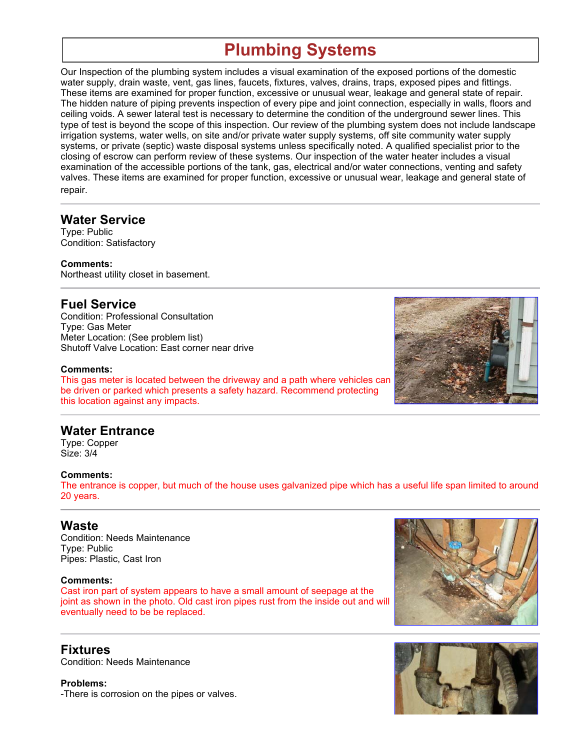# **Plumbing Systems**

Our Inspection of the plumbing system includes a visual examination of the exposed portions of the domestic water supply, drain waste, vent, gas lines, faucets, fixtures, valves, drains, traps, exposed pipes and fittings. These items are examined for proper function, excessive or unusual wear, leakage and general state of repair. The hidden nature of piping prevents inspection of every pipe and joint connection, especially in walls, floors and ceiling voids. A sewer lateral test is necessary to determine the condition of the underground sewer lines. This type of test is beyond the scope of this inspection. Our review of the plumbing system does not include landscape irrigation systems, water wells, on site and/or private water supply systems, off site community water supply systems, or private (septic) waste disposal systems unless specifically noted. A qualified specialist prior to the closing of escrow can perform review of these systems. Our inspection of the water heater includes a visual examination of the accessible portions of the tank, gas, electrical and/or water connections, venting and safety valves. These items are examined for proper function, excessive or unusual wear, leakage and general state of repair.

## **Water Service**

Type: Public Condition: Satisfactory

**Comments:** Northeast utility closet in basement.

## **Fuel Service**

Condition: Professional Consultation Type: Gas Meter Meter Location: (See problem list) Shutoff Valve Location: East corner near drive

#### **Comments:**

This gas meter is located between the driveway and a path where vehicles can be driven or parked which presents a safety hazard. Recommend protecting this location against any impacts.



## **Water Entrance**

Type: Copper Size: 3/4

#### **Comments:**

The entrance is copper, but much of the house uses galvanized pipe which has a useful life span limited to around 20 years.

## **Waste**

Condition: Needs Maintenance Type: Public Pipes: Plastic, Cast Iron

#### **Comments:**

Cast iron part of system appears to have a small amount of seepage at the joint as shown in the photo. Old cast iron pipes rust from the inside out and will eventually need to be be replaced.

**Fixtures** Condition: Needs Maintenance

**Problems:** -There is corrosion on the pipes or valves.



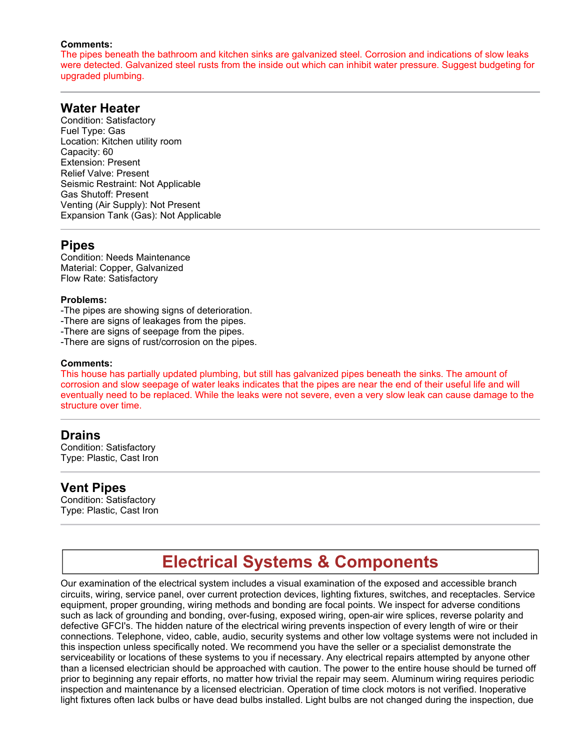#### **Comments:**

The pipes beneath the bathroom and kitchen sinks are galvanized steel. Corrosion and indications of slow leaks were detected. Galvanized steel rusts from the inside out which can inhibit water pressure. Suggest budgeting for upgraded plumbing.

### **Water Heater**

Condition: Satisfactory Fuel Type: Gas Location: Kitchen utility room Capacity: 60 Extension: Present Relief Valve: Present Seismic Restraint: Not Applicable Gas Shutoff: Present Venting (Air Supply): Not Present Expansion Tank (Gas): Not Applicable

## **Pipes**

Condition: Needs Maintenance Material: Copper, Galvanized Flow Rate: Satisfactory

#### **Problems:**

-The pipes are showing signs of deterioration.

-There are signs of leakages from the pipes.

- -There are signs of seepage from the pipes.
- -There are signs of rust/corrosion on the pipes.

#### **Comments:**

This house has partially updated plumbing, but still has galvanized pipes beneath the sinks. The amount of corrosion and slow seepage of water leaks indicates that the pipes are near the end of their useful life and will eventually need to be replaced. While the leaks were not severe, even a very slow leak can cause damage to the structure over time.

#### **Drains**

Condition: Satisfactory Type: Plastic, Cast Iron

#### **Vent Pipes**

Condition: Satisfactory Type: Plastic, Cast Iron

## **Electrical Systems & Components**

Our examination of the electrical system includes a visual examination of the exposed and accessible branch circuits, wiring, service panel, over current protection devices, lighting fixtures, switches, and receptacles. Service equipment, proper grounding, wiring methods and bonding are focal points. We inspect for adverse conditions such as lack of grounding and bonding, over-fusing, exposed wiring, open-air wire splices, reverse polarity and defective GFCI's. The hidden nature of the electrical wiring prevents inspection of every length of wire or their connections. Telephone, video, cable, audio, security systems and other low voltage systems were not included in this inspection unless specifically noted. We recommend you have the seller or a specialist demonstrate the serviceability or locations of these systems to you if necessary. Any electrical repairs attempted by anyone other than a licensed electrician should be approached with caution. The power to the entire house should be turned off prior to beginning any repair efforts, no matter how trivial the repair may seem. Aluminum wiring requires periodic inspection and maintenance by a licensed electrician. Operation of time clock motors is not verified. Inoperative light fixtures often lack bulbs or have dead bulbs installed. Light bulbs are not changed during the inspection, due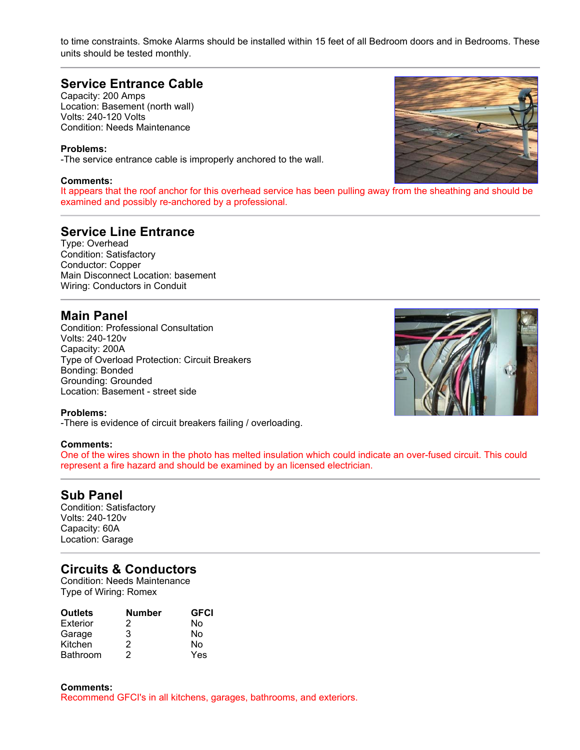to time constraints. Smoke Alarms should be installed within 15 feet of all Bedroom doors and in Bedrooms. These units should be tested monthly.

## **Service Entrance Cable**

Capacity: 200 Amps Location: Basement (north wall) Volts: 240-120 Volts Condition: Needs Maintenance

#### **Problems:**

-The service entrance cable is improperly anchored to the wall.

#### **Comments:**

It appears that the roof anchor for this overhead service has been pulling away from the sheathing and should be examined and possibly re-anchored by a professional.

## **Service Line Entrance**

Type: Overhead Condition: Satisfactory Conductor: Copper Main Disconnect Location: basement Wiring: Conductors in Conduit

#### **Main Panel**

Condition: Professional Consultation Volts: 240-120v Capacity: 200A Type of Overload Protection: Circuit Breakers Bonding: Bonded Grounding: Grounded Location: Basement - street side

#### **Problems:**

-There is evidence of circuit breakers failing / overloading.

#### **Comments:**

One of the wires shown in the photo has melted insulation which could indicate an over-fused circuit. This could represent a fire hazard and should be examined by an licensed electrician.

#### **Sub Panel**

Condition: Satisfactory Volts: 240-120v Capacity: 60A Location: Garage

## **Circuits & Conductors**

Condition: Needs Maintenance Type of Wiring: Romex

| <b>Outlets</b>  | <b>Number</b> | <b>GFCI</b> |
|-----------------|---------------|-------------|
| Exterior        | 2             | N٥          |
| Garage          | 3             | N٥          |
| Kitchen         | 2             | N٥          |
| <b>Bathroom</b> | 2             | Yes         |

**Comments:** Recommend GFCI's in all kitchens, garages, bathrooms, and exteriors.



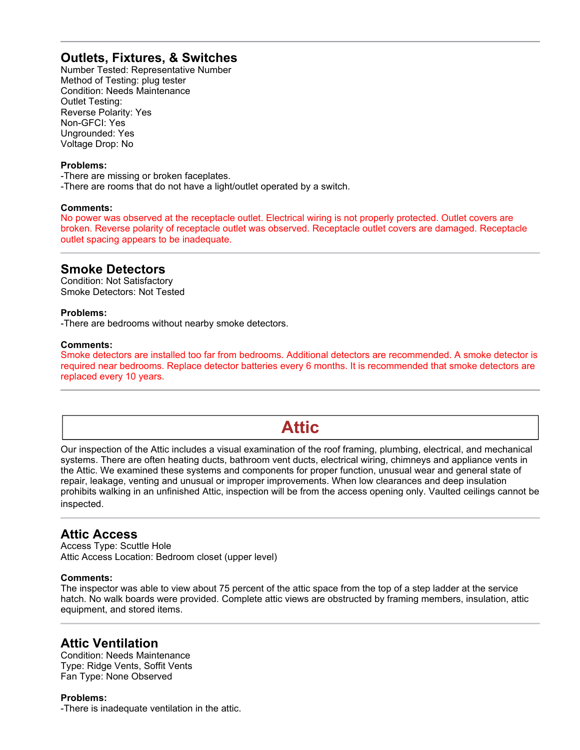## **Outlets, Fixtures, & Switches**

Number Tested: Representative Number Method of Testing: plug tester Condition: Needs Maintenance Outlet Testing: Reverse Polarity: Yes Non-GFCI: Yes Ungrounded: Yes Voltage Drop: No

#### **Problems:**

-There are missing or broken faceplates. -There are rooms that do not have a light/outlet operated by a switch.

#### **Comments:**

No power was observed at the receptacle outlet. Electrical wiring is not properly protected. Outlet covers are broken. Reverse polarity of receptacle outlet was observed. Receptacle outlet covers are damaged. Receptacle outlet spacing appears to be inadequate.

## **Smoke Detectors**

Condition: Not Satisfactory Smoke Detectors: Not Tested

#### **Problems:**

-There are bedrooms without nearby smoke detectors.

#### **Comments:**

Smoke detectors are installed too far from bedrooms. Additional detectors are recommended. A smoke detector is required near bedrooms. Replace detector batteries every 6 months. It is recommended that smoke detectors are replaced every 10 years.

## **Attic**

Our inspection of the Attic includes a visual examination of the roof framing, plumbing, electrical, and mechanical systems. There are often heating ducts, bathroom vent ducts, electrical wiring, chimneys and appliance vents in the Attic. We examined these systems and components for proper function, unusual wear and general state of repair, leakage, venting and unusual or improper improvements. When low clearances and deep insulation prohibits walking in an unfinished Attic, inspection will be from the access opening only. Vaulted ceilings cannot be inspected.

## **Attic Access**

Access Type: Scuttle Hole Attic Access Location: Bedroom closet (upper level)

#### **Comments:**

The inspector was able to view about 75 percent of the attic space from the top of a step ladder at the service hatch. No walk boards were provided. Complete attic views are obstructed by framing members, insulation, attic equipment, and stored items.

## **Attic Ventilation**

Condition: Needs Maintenance Type: Ridge Vents, Soffit Vents Fan Type: None Observed

**Problems:** -There is inadequate ventilation in the attic.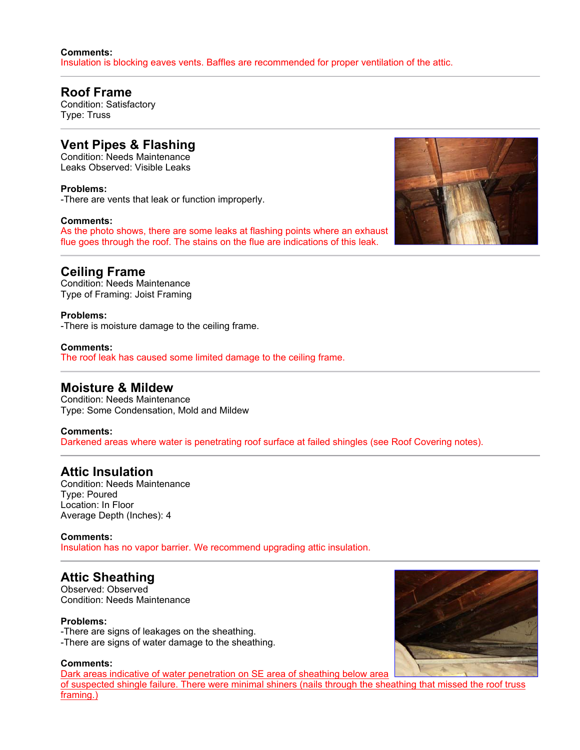#### **Comments:** Insulation is blocking eaves vents. Baffles are recommended for proper ventilation of the attic.

## **Roof Frame**

Condition: Satisfactory Type: Truss

## **Vent Pipes & Flashing**

Condition: Needs Maintenance Leaks Observed: Visible Leaks

**Problems:** -There are vents that leak or function improperly.

#### **Comments:**

As the photo shows, there are some leaks at flashing points where an exhaust flue goes through the roof. The stains on the flue are indications of this leak.



## **Ceiling Frame**

Condition: Needs Maintenance Type of Framing: Joist Framing

**Problems:** -There is moisture damage to the ceiling frame.

**Comments:** The roof leak has caused some limited damage to the ceiling frame.

## **Moisture & Mildew**

Condition: Needs Maintenance Type: Some Condensation, Mold and Mildew

#### **Comments:**

Darkened areas where water is penetrating roof surface at failed shingles (see Roof Covering notes).

## **Attic Insulation**

Condition: Needs Maintenance Type: Poured Location: In Floor Average Depth (Inches): 4

#### **Comments:**

Insulation has no vapor barrier. We recommend upgrading attic insulation.

## **Attic Sheathing**

Observed: Observed Condition: Needs Maintenance

#### **Problems:**

-There are signs of leakages on the sheathing. -There are signs of water damage to the sheathing.

#### **Comments:**

Dark areas indicative of water penetration on SE area of sheathing below area of suspected shingle failure. There were minimal shiners (nails through the sheathing that missed the roof truss framing.)

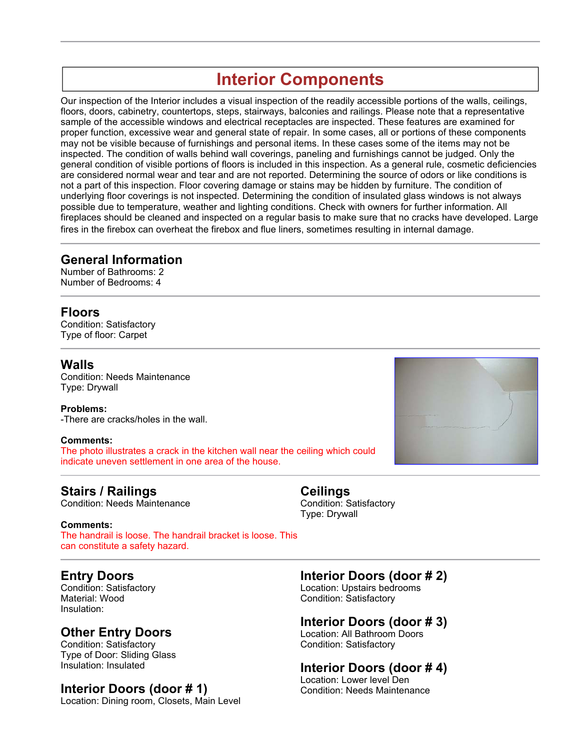# **Interior Components**

Our inspection of the Interior includes a visual inspection of the readily accessible portions of the walls, ceilings, floors, doors, cabinetry, countertops, steps, stairways, balconies and railings. Please note that a representative sample of the accessible windows and electrical receptacles are inspected. These features are examined for proper function, excessive wear and general state of repair. In some cases, all or portions of these components may not be visible because of furnishings and personal items. In these cases some of the items may not be inspected. The condition of walls behind wall coverings, paneling and furnishings cannot be judged. Only the general condition of visible portions of floors is included in this inspection. As a general rule, cosmetic deficiencies are considered normal wear and tear and are not reported. Determining the source of odors or like conditions is not a part of this inspection. Floor covering damage or stains may be hidden by furniture. The condition of underlying floor coverings is not inspected. Determining the condition of insulated glass windows is not always possible due to temperature, weather and lighting conditions. Check with owners for further information. All fireplaces should be cleaned and inspected on a regular basis to make sure that no cracks have developed. Large fires in the firebox can overheat the firebox and flue liners, sometimes resulting in internal damage.

## **General Information**

Number of Bathrooms: 2 Number of Bedrooms: 4

## **Floors**

Condition: Satisfactory Type of floor: Carpet

## **Walls**

Condition: Needs Maintenance Type: Drywall

**Problems:** -There are cracks/holes in the wall.

#### **Comments:**

The photo illustrates a crack in the kitchen wall near the ceiling which could indicate uneven settlement in one area of the house.

## **Stairs / Railings**

Condition: Needs Maintenance

#### **Comments:**

The handrail is loose. The handrail bracket is loose. This can constitute a safety hazard.

## **Entry Doors**

Condition: Satisfactory Material: Wood Insulation:

## **Other Entry Doors**

Condition: Satisfactory Type of Door: Sliding Glass Insulation: Insulated

## **Interior Doors (door # 1)**

Location: Dining room, Closets, Main Level

#### **Ceilings** Condition: Satisfactory Type: Drywall

**Interior Doors (door # 2)**

Location: Upstairs bedrooms Condition: Satisfactory

## **Interior Doors (door # 3)**

Location: All Bathroom Doors Condition: Satisfactory

## **Interior Doors (door # 4)**

Location: Lower level Den Condition: Needs Maintenance

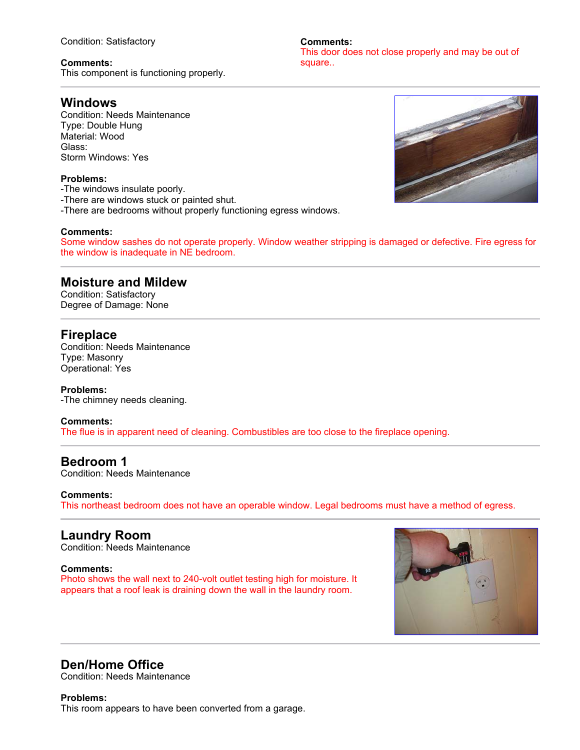Condition: Satisfactory

## **Comments:**

This component is functioning properly.

## **Windows**

Condition: Needs Maintenance Type: Double Hung Material: Wood Glass: Storm Windows: Yes

## **Problems:**

- -The windows insulate poorly.
- -There are windows stuck or painted shut.
- -There are bedrooms without properly functioning egress windows.

## **Comments:**

Some window sashes do not operate properly. Window weather stripping is damaged or defective. Fire egress for the window is inadequate in NE bedroom.

**Comments:**

## **Moisture and Mildew**

Condition: Satisfactory Degree of Damage: None

## **Fireplace**

Condition: Needs Maintenance Type: Masonry Operational: Yes

#### **Problems:**

-The chimney needs cleaning.

#### **Comments:**

The flue is in apparent need of cleaning. Combustibles are too close to the fireplace opening.

## **Bedroom 1**

Condition: Needs Maintenance

#### **Comments:**

This northeast bedroom does not have an operable window. Legal bedrooms must have a method of egress.

## **Laundry Room**

Condition: Needs Maintenance

#### **Comments:**

Photo shows the wall next to 240-volt outlet testing high for moisture. It appears that a roof leak is draining down the wall in the laundry room.



## **Den/Home Office**

Condition: Needs Maintenance

#### **Problems:**

This room appears to have been converted from a garage.

This door does not close properly and may be out of square..

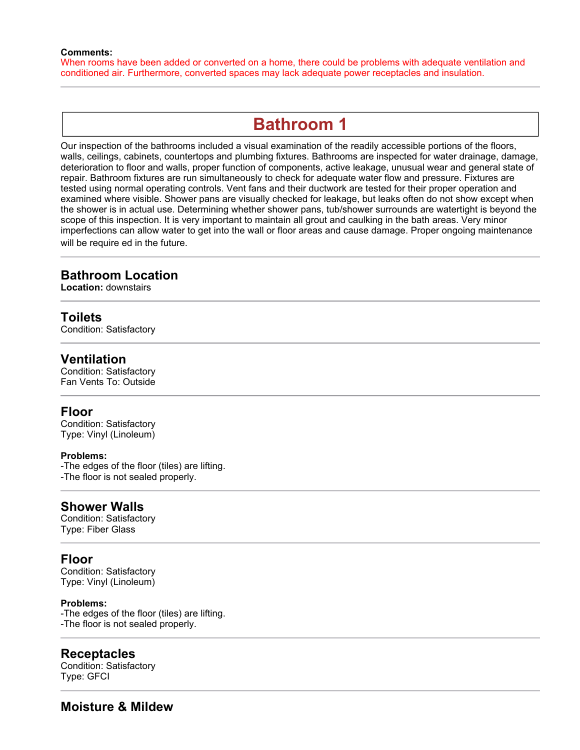#### **Comments:**

When rooms have been added or converted on a home, there could be problems with adequate ventilation and conditioned air. Furthermore, converted spaces may lack adequate power receptacles and insulation.

## **Bathroom 1**

Our inspection of the bathrooms included a visual examination of the readily accessible portions of the floors, walls, ceilings, cabinets, countertops and plumbing fixtures. Bathrooms are inspected for water drainage, damage, deterioration to floor and walls, proper function of components, active leakage, unusual wear and general state of repair. Bathroom fixtures are run simultaneously to check for adequate water flow and pressure. Fixtures are tested using normal operating controls. Vent fans and their ductwork are tested for their proper operation and examined where visible. Shower pans are visually checked for leakage, but leaks often do not show except when the shower is in actual use. Determining whether shower pans, tub/shower surrounds are watertight is beyond the scope of this inspection. It is very important to maintain all grout and caulking in the bath areas. Very minor imperfections can allow water to get into the wall or floor areas and cause damage. Proper ongoing maintenance will be require ed in the future.

## **Bathroom Location**

**Location:** downstairs

## **Toilets**

Condition: Satisfactory

#### **Ventilation**

Condition: Satisfactory Fan Vents To: Outside

### **Floor**

Condition: Satisfactory Type: Vinyl (Linoleum)

#### **Problems:**

-The edges of the floor (tiles) are lifting. -The floor is not sealed properly.

## **Shower Walls**

Condition: Satisfactory Type: Fiber Glass

## **Floor**

Condition: Satisfactory Type: Vinyl (Linoleum)

#### **Problems:**

-The edges of the floor (tiles) are lifting. -The floor is not sealed properly.

#### **Receptacles**

Condition: Satisfactory Type: GFCI

## **Moisture & Mildew**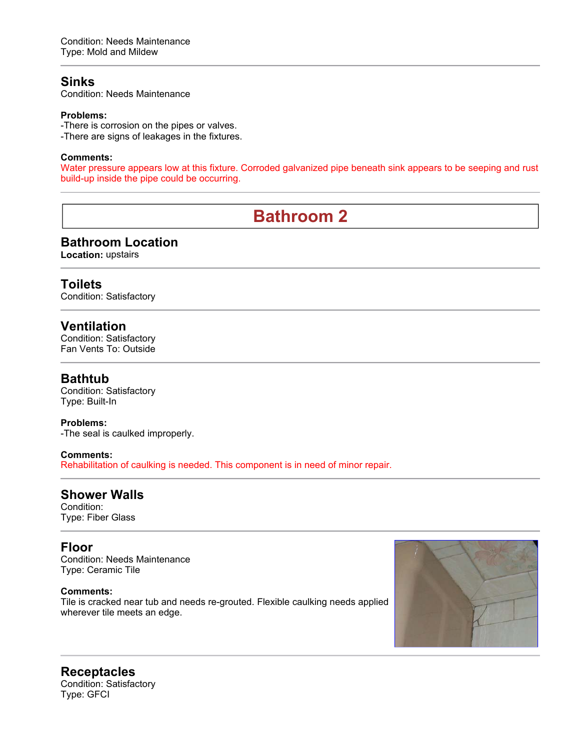## **Sinks**

Condition: Needs Maintenance

#### **Problems:**

-There is corrosion on the pipes or valves. -There are signs of leakages in the fixtures.

#### **Comments:**

Water pressure appears low at this fixture. Corroded galvanized pipe beneath sink appears to be seeping and rust build-up inside the pipe could be occurring.

# **Bathroom 2**

## **Bathroom Location**

**Location:** upstairs

## **Toilets**

Condition: Satisfactory

## **Ventilation**

Condition: Satisfactory Fan Vents To: Outside

## **Bathtub**

Condition: Satisfactory Type: Built-In

#### **Problems:**

-The seal is caulked improperly.

#### **Comments:**

Rehabilitation of caulking is needed. This component is in need of minor repair.

## **Shower Walls**

Condition: Type: Fiber Glass

## **Floor**

Condition: Needs Maintenance Type: Ceramic Tile

#### **Comments:**

Tile is cracked near tub and needs re-grouted. Flexible caulking needs applied wherever tile meets an edge.



#### **Receptacles** Condition: Satisfactory Type: GFCI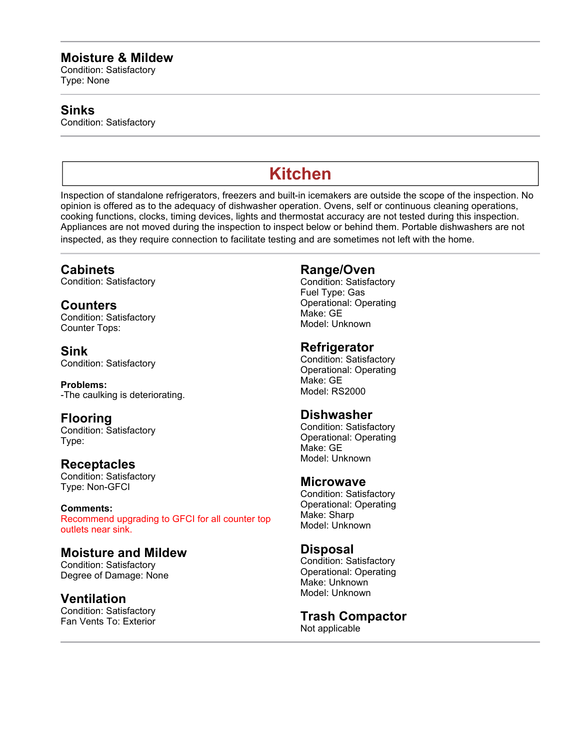## **Moisture & Mildew**

Condition: Satisfactory Type: None

## **Sinks**

Condition: Satisfactory

# **Kitchen**

Inspection of standalone refrigerators, freezers and built-in icemakers are outside the scope of the inspection. No opinion is offered as to the adequacy of dishwasher operation. Ovens, self or continuous cleaning operations, cooking functions, clocks, timing devices, lights and thermostat accuracy are not tested during this inspection. Appliances are not moved during the inspection to inspect below or behind them. Portable dishwashers are not inspected, as they require connection to facilitate testing and are sometimes not left with the home.

## **Cabinets**

Condition: Satisfactory

**Counters** Condition: Satisfactory Counter Tops:

**Sink** Condition: Satisfactory

**Problems:** -The caulking is deteriorating.

## **Flooring**

Condition: Satisfactory Type:

## **Receptacles**

Condition: Satisfactory Type: Non-GFCI

**Comments:** Recommend upgrading to GFCI for all counter top outlets near sink.

## **Moisture and Mildew**

Condition: Satisfactory Degree of Damage: None

## **Ventilation**

Condition: Satisfactory Fan Vents To: Exterior

## **Range/Oven**

Condition: Satisfactory Fuel Type: Gas Operational: Operating Make: GE Model: Unknown

## **Refrigerator**

Condition: Satisfactory Operational: Operating Make: GE Model: RS2000

## **Dishwasher**

Condition: Satisfactory Operational: Operating Make: GE Model: Unknown

## **Microwave**

Condition: Satisfactory Operational: Operating Make: Sharp Model: Unknown

## **Disposal**

Condition: Satisfactory Operational: Operating Make: Unknown Model: Unknown

#### **Trash Compactor** Not applicable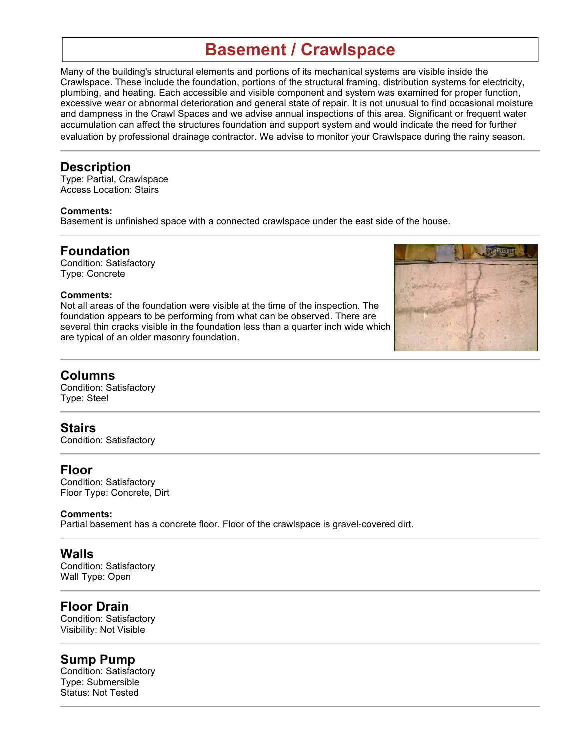# **Basement / Crawlspace**

Many of the building's structural elements and portions of its mechanical systems are visible inside the Crawlspace. These include the foundation, portions of the structural framing, distribution systems for electricity, plumbing, and heating. Each accessible and visible component and system was examined for proper function, excessive wear or abnormal deterioration and general state of repair. It is not unusual to find occasional moisture and dampness in the Crawl Spaces and we advise annual inspections of this area. Significant or frequent water accumulation can affect the structures foundation and support system and would indicate the need for further evaluation by professional drainage contractor. We advise to monitor your Crawlspace during the rainy season.

## **Description**

Type: Partial, Crawlspace Access Location: Stairs

#### **Comments:**

Basement is unfinished space with a connected crawlspace under the east side of the house.

## **Foundation**

Condition: Satisfactory Type: Concrete

#### **Comments:**

Not all areas of the foundation were visible at the time of the inspection. The foundation appears to be performing from what can be observed. There are several thin cracks visible in the foundation less than a quarter inch wide which are typical of an older masonry foundation.



## **Columns**

Condition: Satisfactory Type: Steel

## **Stairs**

Condition: Satisfactory

## **Floor**

Condition: Satisfactory Floor Type: Concrete, Dirt

#### **Comments:**

Partial basement has a concrete floor. Floor of the crawlspace is gravel-covered dirt.

## **Walls**

Condition: Satisfactory Wall Type: Open

## **Floor Drain**

Condition: Satisfactory Visibility: Not Visible

## **Sump Pump**

Condition: Satisfactory Type: Submersible Status: Not Tested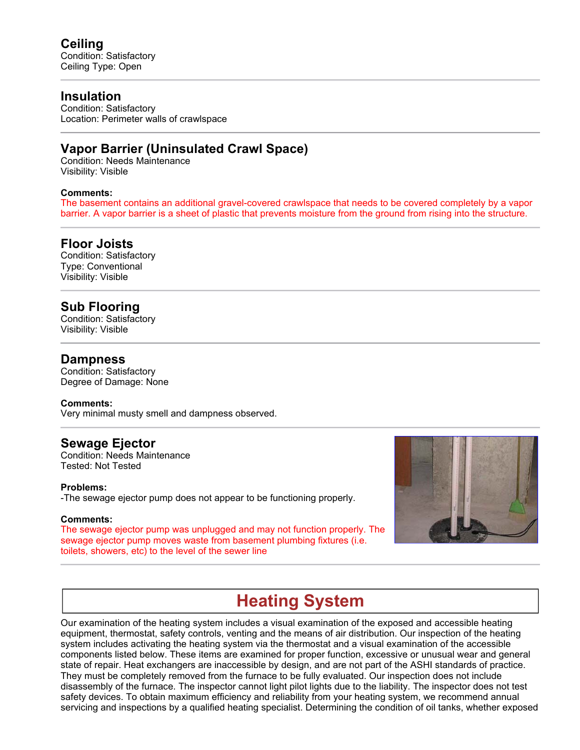## **Insulation**

Condition: Satisfactory Location: Perimeter walls of crawlspace

## **Vapor Barrier (Uninsulated Crawl Space)**

Condition: Needs Maintenance Visibility: Visible

#### **Comments:**

The basement contains an additional gravel-covered crawlspace that needs to be covered completely by a vapor barrier. A vapor barrier is a sheet of plastic that prevents moisture from the ground from rising into the structure.

## **Floor Joists**

Condition: Satisfactory Type: Conventional Visibility: Visible

## **Sub Flooring**

Condition: Satisfactory Visibility: Visible

#### **Dampness**

Condition: Satisfactory Degree of Damage: None

#### **Comments:**

Very minimal musty smell and dampness observed.

## **Sewage Ejector**

Condition: Needs Maintenance Tested: Not Tested

#### **Problems:**

-The sewage ejector pump does not appear to be functioning properly.

#### **Comments:**

The sewage ejector pump was unplugged and may not function properly. The sewage ejector pump moves waste from basement plumbing fixtures (i.e. toilets, showers, etc) to the level of the sewer line



## **Heating System**

Our examination of the heating system includes a visual examination of the exposed and accessible heating equipment, thermostat, safety controls, venting and the means of air distribution. Our inspection of the heating system includes activating the heating system via the thermostat and a visual examination of the accessible components listed below. These items are examined for proper function, excessive or unusual wear and general state of repair. Heat exchangers are inaccessible by design, and are not part of the ASHI standards of practice. They must be completely removed from the furnace to be fully evaluated. Our inspection does not include disassembly of the furnace. The inspector cannot light pilot lights due to the liability. The inspector does not test safety devices. To obtain maximum efficiency and reliability from your heating system, we recommend annual servicing and inspections by a qualified heating specialist. Determining the condition of oil tanks, whether exposed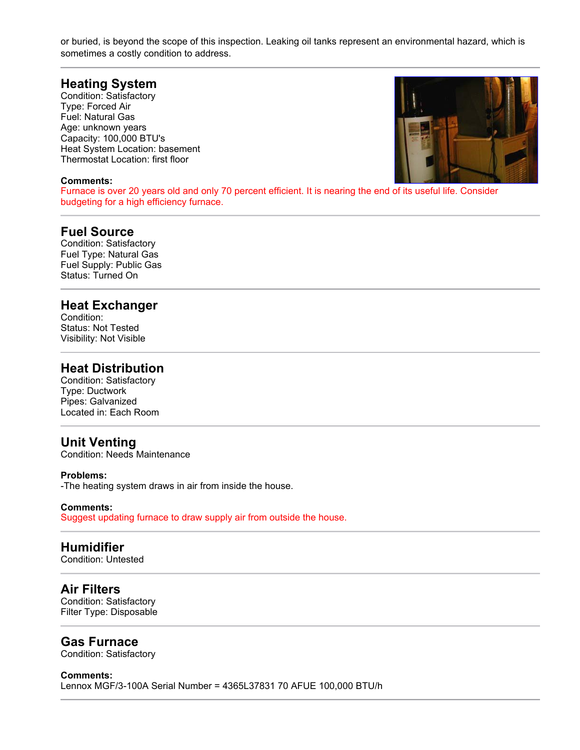or buried, is beyond the scope of this inspection. Leaking oil tanks represent an environmental hazard, which is sometimes a costly condition to address.

## **Heating System**

Condition: Satisfactory Type: Forced Air Fuel: Natural Gas Age: unknown years Capacity: 100,000 BTU's Heat System Location: basement Thermostat Location: first floor

#### **Comments:**

Furnace is over 20 years old and only 70 percent efficient. It is nearing the end of its useful life. Consider budgeting for a high efficiency furnace.

## **Fuel Source**

Condition: Satisfactory Fuel Type: Natural Gas Fuel Supply: Public Gas Status: Turned On

#### **Heat Exchanger**

Condition: Status: Not Tested Visibility: Not Visible

## **Heat Distribution**

Condition: Satisfactory Type: Ductwork Pipes: Galvanized Located in: Each Room

## **Unit Venting**

Condition: Needs Maintenance

#### **Problems:**

-The heating system draws in air from inside the house.

#### **Comments:**

Suggest updating furnace to draw supply air from outside the house.

#### **Humidifier**

Condition: Untested

#### **Air Filters**

Condition: Satisfactory Filter Type: Disposable

#### **Gas Furnace**

Condition: Satisfactory

#### **Comments:**

Lennox MGF/3-100A Serial Number = 4365L37831 70 AFUE 100,000 BTU/h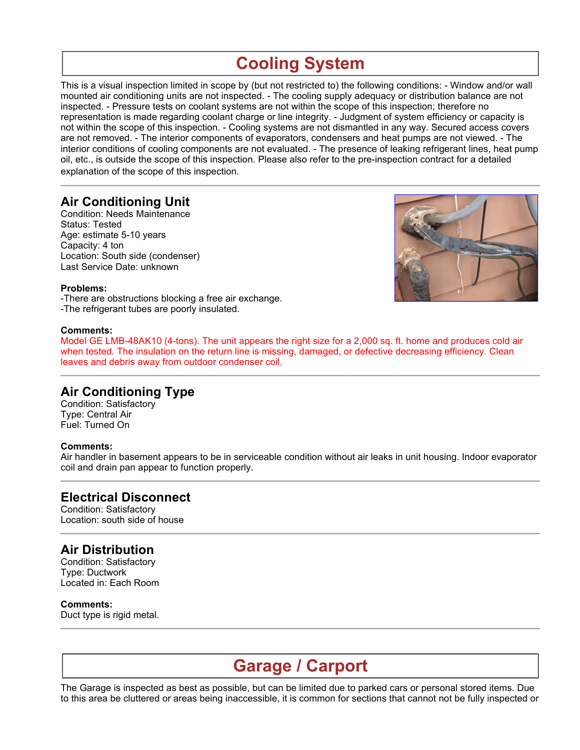# **Cooling System**

This is a visual inspection limited in scope by (but not restricted to) the following conditions: - Window and/or wall mounted air conditioning units are not inspected. - The cooling supply adequacy or distribution balance are not inspected. - Pressure tests on coolant systems are not within the scope of this inspection; therefore no representation is made regarding coolant charge or line integrity. - Judgment of system efficiency or capacity is not within the scope of this inspection. - Cooling systems are not dismantled in any way. Secured access covers are not removed. - The interior components of evaporators, condensers and heat pumps are not viewed. - The interior conditions of cooling components are not evaluated. - The presence of leaking refrigerant lines, heat pump oil, etc., is outside the scope of this inspection. Please also refer to the pre-inspection contract for a detailed explanation of the scope of this inspection.

## **Air Conditioning Unit**

Condition: Needs Maintenance Status: Tested Age: estimate 5-10 years Capacity: 4 ton Location: South side (condenser) Last Service Date: unknown



#### **Problems:**

-There are obstructions blocking a free air exchange. -The refrigerant tubes are poorly insulated.

#### **Comments:**

Model GE LMB-48AK10 (4-tons). The unit appears the right size for a 2,000 sq. ft. home and produces cold air when tested. The insulation on the return line is missing, damaged, or defective decreasing efficiency. Clean leaves and debris away from outdoor condenser coil.

## **Air Conditioning Type**

Condition: Satisfactory Type: Central Air Fuel: Turned On

#### **Comments:**

Air handler in basement appears to be in serviceable condition without air leaks in unit housing. Indoor evaporator coil and drain pan appear to function properly.

## **Electrical Disconnect**

Condition: Satisfactory Location: south side of house

## **Air Distribution**

Condition: Satisfactory Type: Ductwork Located in: Each Room

**Comments:** Duct type is rigid metal.

## **Garage / Carport**

The Garage is inspected as best as possible, but can be limited due to parked cars or personal stored items. Due to this area be cluttered or areas being inaccessible, it is common for sections that cannot not be fully inspected or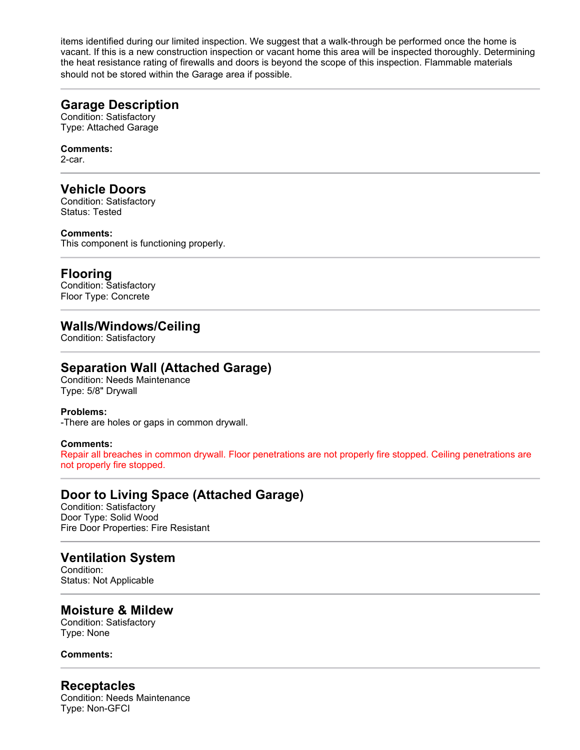items identified during our limited inspection. We suggest that a walk-through be performed once the home is vacant. If this is a new construction inspection or vacant home this area will be inspected thoroughly. Determining the heat resistance rating of firewalls and doors is beyond the scope of this inspection. Flammable materials should not be stored within the Garage area if possible.

## **Garage Description**

Condition: Satisfactory Type: Attached Garage

#### **Comments:**

2-car.

## **Vehicle Doors**

Condition: Satisfactory Status: Tested

#### **Comments:**

This component is functioning properly.

## **Flooring**

Condition: Satisfactory Floor Type: Concrete

## **Walls/Windows/Ceiling**

Condition: Satisfactory

## **Separation Wall (Attached Garage)**

Condition: Needs Maintenance Type: 5/8" Drywall

#### **Problems:**

-There are holes or gaps in common drywall.

#### **Comments:**

Repair all breaches in common drywall. Floor penetrations are not properly fire stopped. Ceiling penetrations are not properly fire stopped.

## **Door to Living Space (Attached Garage)**

Condition: Satisfactory Door Type: Solid Wood Fire Door Properties: Fire Resistant

## **Ventilation System**

Condition: Status: Not Applicable

## **Moisture & Mildew**

Condition: Satisfactory Type: None

#### **Comments:**

## **Receptacles**

Condition: Needs Maintenance Type: Non-GFCI